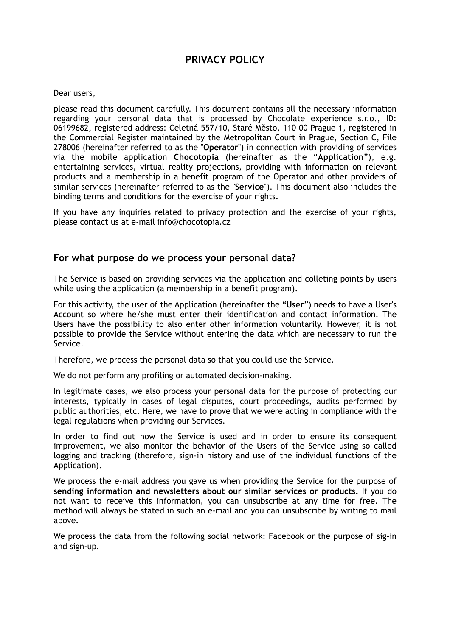# **PRIVACY POLICY**

#### Dear users,

please read this document carefully. This document contains all the necessary information regarding your personal data that is processed by Chocolate experience s.r.o., ID: 06199682, registered address: Celetná 557/10, Staré Město, 110 00 Prague 1, registered in the Commercial Register maintained by the Metropolitan Court in Prague, Section C, File 278006 (hereinafter referred to as the "**Operator**") in connection with providing of services via the mobile application **Chocotopia** (hereinafter as the "**Application**"), e.g. entertaining services, virtual reality projections, providing with information on relevant products and a membership in a benefit program of the Operator and other providers of similar services (hereinafter referred to as the "**Service**"). This document also includes the binding terms and conditions for the exercise of your rights.

If you have any inquiries related to privacy protection and the exercise of your rights, please contact us at e-mail info@chocotopia.cz

### **For what purpose do we process your personal data?**

The Service is based on providing services via the application and colleting points by users while using the application (a membership in a benefit program).

For this activity, the user of the Application (hereinafter the "**User**") needs to have a User's Account so where he/she must enter their identification and contact information. The Users have the possibility to also enter other information voluntarily. However, it is not possible to provide the Service without entering the data which are necessary to run the Service.

Therefore, we process the personal data so that you could use the Service.

We do not perform any profiling or automated decision-making.

In legitimate cases, we also process your personal data for the purpose of protecting our interests, typically in cases of legal disputes, court proceedings, audits performed by public authorities, etc. Here, we have to prove that we were acting in compliance with the legal regulations when providing our Services.

In order to find out how the Service is used and in order to ensure its consequent improvement, we also monitor the behavior of the Users of the Service using so called logging and tracking (therefore, sign-in history and use of the individual functions of the Application).

We process the e-mail address you gave us when providing the Service for the purpose of **sending information and newsletters about our similar services or products.** If you do not want to receive this information, you can unsubscribe at any time for free. The method will always be stated in such an e-mail and you can unsubscribe by writing to mail above.

We process the data from the following social network: Facebook or the purpose of sig-in and sign-up.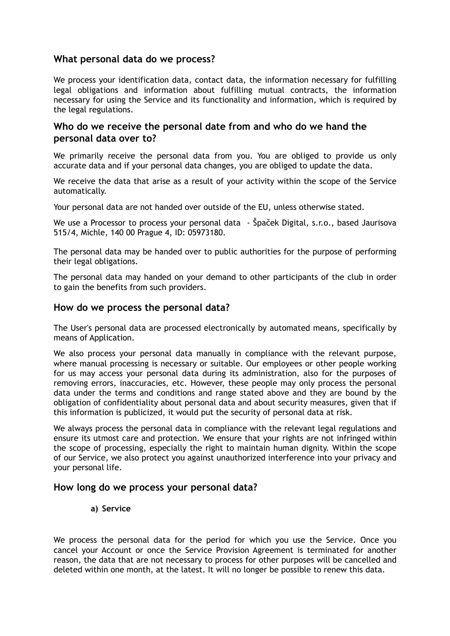## **What personal data do we process?**

We process your identification data, contact data, the information necessary for fulfilling legal obligations and information about fulfilling mutual contracts, the information necessary for using the Service and its functionality and information, which is required by the legal regulations.

## **Who do we receive the personal date from and who do we hand the personal data over to?**

We primarily receive the personal data from you. You are obliged to provide us only accurate data and if your personal data changes, you are obliged to update the data.

We receive the data that arise as a result of your activity within the scope of the Service automatically.

Your personal data are not handed over outside of the EU, unless otherwise stated.

We use a Processor to process your personal data - Špaček Digital, s.r.o., based Jaurisova 515/4, Michle, 140 00 Prague 4, ID: 05973180.

The personal data may be handed over to public authorities for the purpose of performing their legal obligations.

The personal data may handed on your demand to other participants of the club in order to gain the benefits from such providers.

## **How do we process the personal data?**

The User's personal data are processed electronically by automated means, specifically by means of Application.

We also process your personal data manually in compliance with the relevant purpose, where manual processing is necessary or suitable. Our employees or other people working for us may access your personal data during its administration, also for the purposes of removing errors, inaccuracies, etc. However, these people may only process the personal data under the terms and conditions and range stated above and they are bound by the obligation of confidentiality about personal data and about security measures, given that if this information is publicized, it would put the security of personal data at risk.

We always process the personal data in compliance with the relevant legal regulations and ensure its utmost care and protection. We ensure that your rights are not infringed within the scope of processing, especially the right to maintain human dignity. Within the scope of our Service, we also protect you against unauthorized interference into your privacy and your personal life.

## **How long do we process your personal data?**

**a) Service** 

We process the personal data for the period for which you use the Service. Once you cancel your Account or once the Service Provision Agreement is terminated for another reason, the data that are not necessary to process for other purposes will be cancelled and deleted within one month, at the latest. It will no longer be possible to renew this data.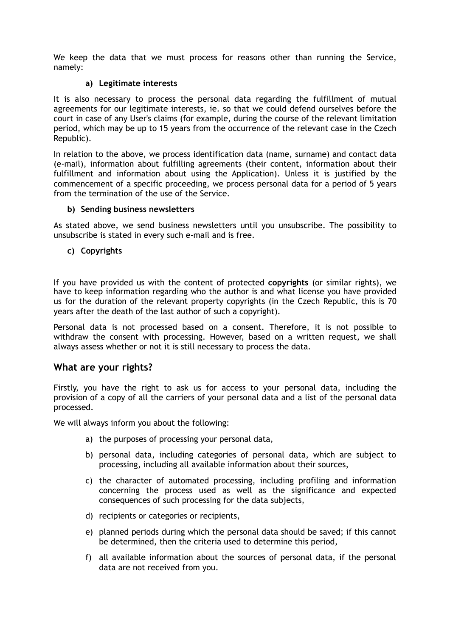We keep the data that we must process for reasons other than running the Service, namely:

#### **a) Legitimate interests**

It is also necessary to process the personal data regarding the fulfillment of mutual agreements for our legitimate interests, ie. so that we could defend ourselves before the court in case of any User's claims (for example, during the course of the relevant limitation period, which may be up to 15 years from the occurrence of the relevant case in the Czech Republic).

In relation to the above, we process identification data (name, surname) and contact data (e-mail), information about fulfilling agreements (their content, information about their fulfillment and information about using the Application). Unless it is justified by the commencement of a specific proceeding, we process personal data for a period of 5 years from the termination of the use of the Service.

#### **b) Sending business newsletters**

As stated above, we send business newsletters until you unsubscribe. The possibility to unsubscribe is stated in every such e-mail and is free.

#### **c) Copyrights**

If you have provided us with the content of protected **copyrights** (or similar rights), we have to keep information regarding who the author is and what license you have provided us for the duration of the relevant property copyrights (in the Czech Republic, this is 70 years after the death of the last author of such a copyright).

Personal data is not processed based on a consent. Therefore, it is not possible to withdraw the consent with processing. However, based on a written request, we shall always assess whether or not it is still necessary to process the data.

## **What are your rights?**

Firstly, you have the right to ask us for access to your personal data, including the provision of a copy of all the carriers of your personal data and a list of the personal data processed.

We will always inform you about the following:

- a) the purposes of processing your personal data,
- b) personal data, including categories of personal data, which are subject to processing, including all available information about their sources,
- c) the character of automated processing, including profiling and information concerning the process used as well as the significance and expected consequences of such processing for the data subjects,
- d) recipients or categories or recipients,
- e) planned periods during which the personal data should be saved; if this cannot be determined, then the criteria used to determine this period,
- f) all available information about the sources of personal data, if the personal data are not received from you.